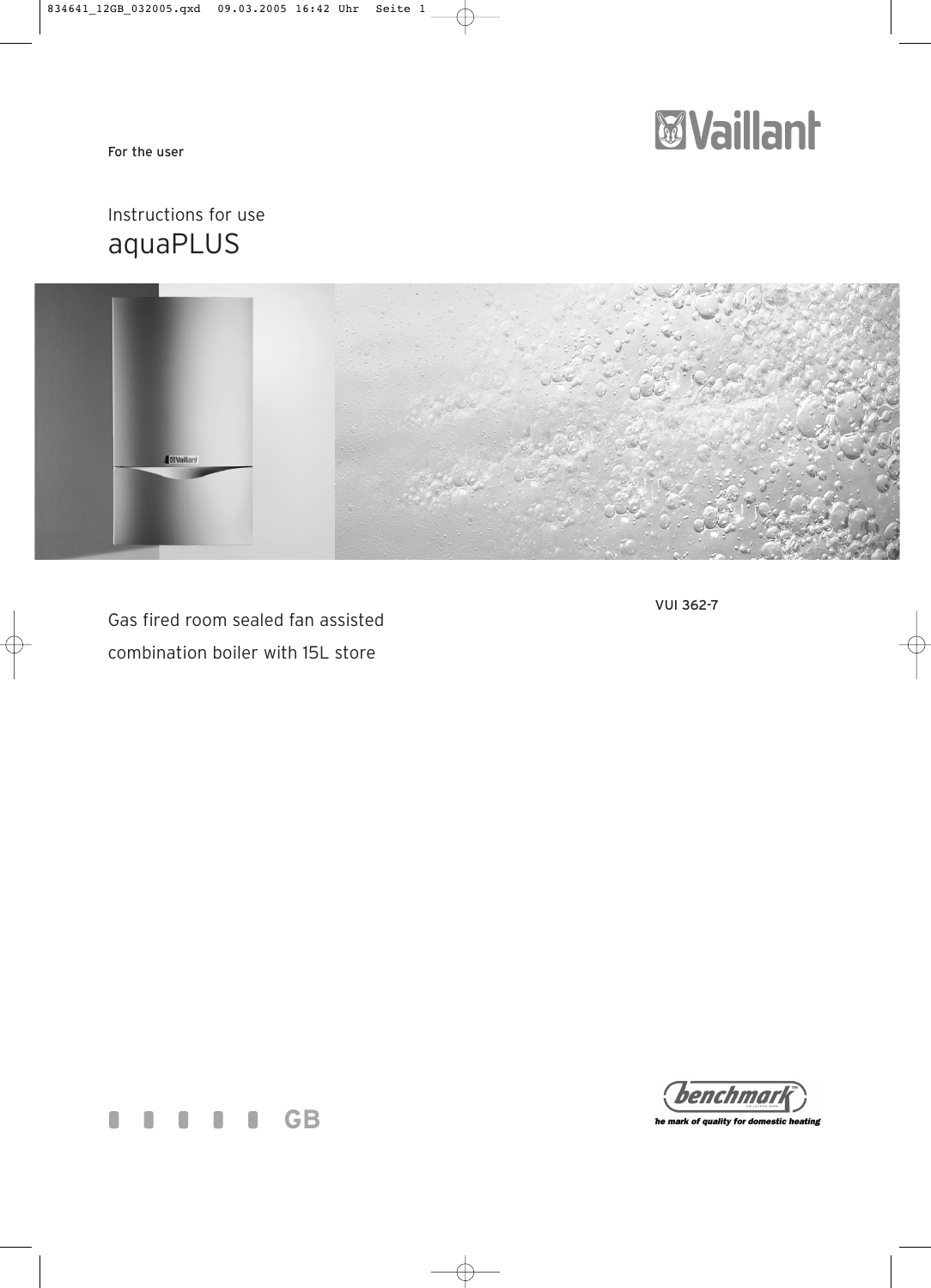For the user



## Instructions for use aquaPLUS



Gas fired room sealed fan assisted

combination boiler with 15L store







he mark of quality for domestic heating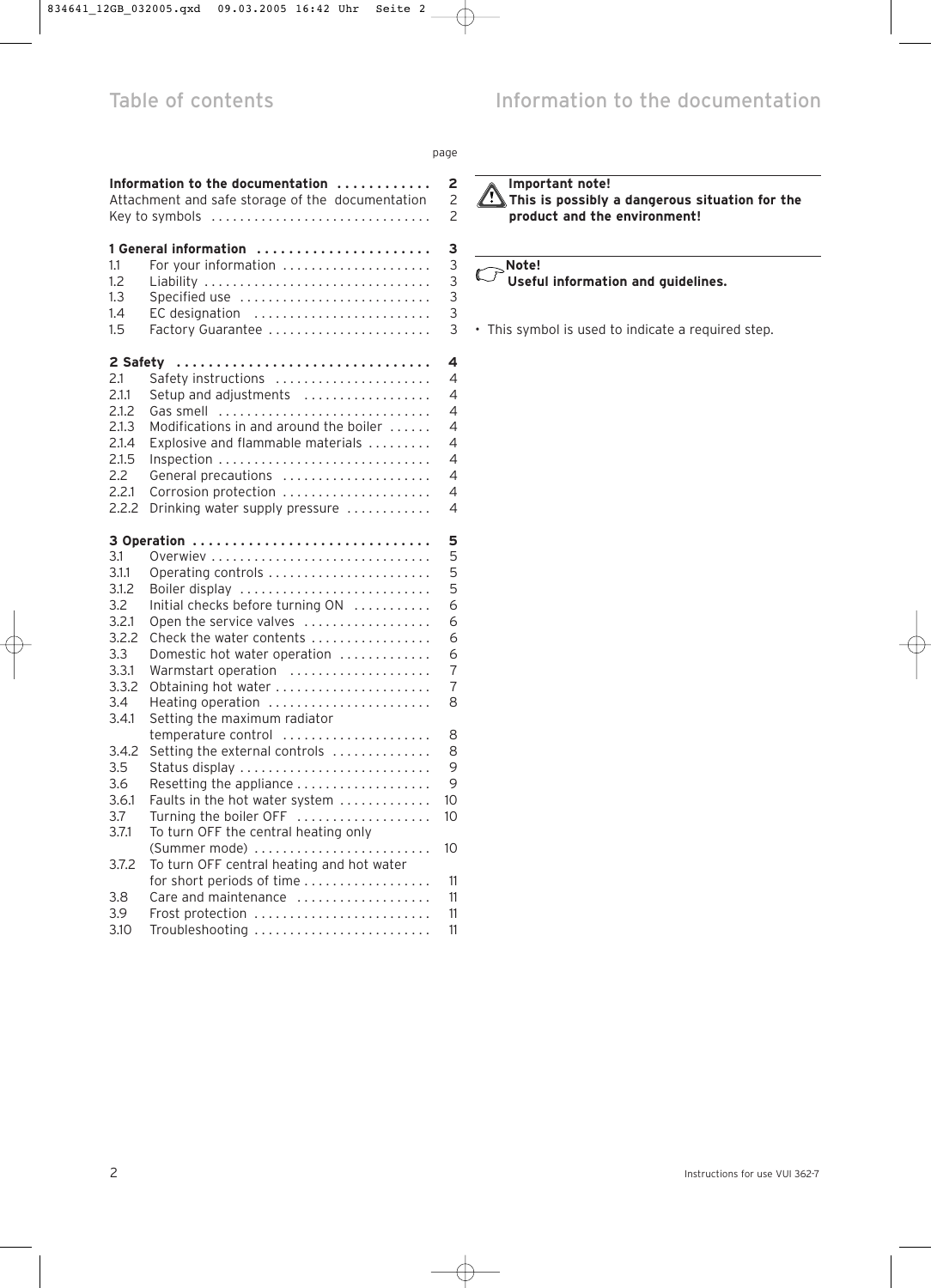|                                                                                         |                                                                                                                                                                                                                                                                                   | page                                                |
|-----------------------------------------------------------------------------------------|-----------------------------------------------------------------------------------------------------------------------------------------------------------------------------------------------------------------------------------------------------------------------------------|-----------------------------------------------------|
|                                                                                         | Information to the documentation $\ldots \ldots \ldots \ldots$<br>Attachment and safe storage of the documentation<br>Key to symbols                                                                                                                                              | 2<br>2<br>$\overline{\phantom{a}}$                  |
| 1.1<br>1.2<br>1.3<br>1.4<br>1.5                                                         | <b>1 General information</b><br>For your information<br>Liability<br>Specified use<br>EC designation<br>Factory Guarantee                                                                                                                                                         | З<br>3<br>3<br>3<br>3<br>3                          |
| 2 Safety<br>2.1<br>2.1.1<br>2.1.2<br>2.1.3<br>2.1.4<br>2.1.5<br>2.2<br>2.2.1<br>2.2.2   | Safety instructions<br>Setup and adjustments<br>Gas smell<br>Modifications in and around the boiler<br>Explosive and flammable materials $\ldots \ldots$<br>Inspection<br>General precautions<br>Corrosion protection<br>Drinking water supply pressure                           | 4<br>4<br>4<br>4<br>4<br>4<br>4<br>4<br>4<br>4      |
| 3.1<br>3.1.1<br>3.1.2<br>3.2<br>3.2.1<br>3.2.2<br>3.3<br>3.3.1<br>3.3.2<br>3.4<br>3.4.1 | 3 Operation<br>Operating controls<br>Boiler display<br>Initial checks before turning ON<br>Open the service valves<br>Check the water contents<br>Domestic hot water operation<br>Warmstart operation<br>Obtaining hot water<br>Heating operation<br>Setting the maximum radiator | 5<br>5<br>5<br>5<br>6<br>6<br>6<br>6<br>7<br>7<br>8 |
| 3.4.2<br>3.5<br>3.6<br>3.6.1<br>3.7<br>3.7.1<br>3.7.2                                   | temperature control<br>Setting the external controls<br>Status display<br>Resetting the appliance<br>Faults in the hot water system<br>Turning the boiler OFF<br>To turn OFF the central heating only<br>(Summer mode)<br>To turn OFF central heating and hot water               | 8<br>8<br>9<br>9<br>10<br>10<br>10                  |

for short periods of time . . . . . . . . . . . . . . . . 11 3.8 Care and maintenance ..................... 11 3.9 Frost protection . . . . . . . . . . . . . . . . . . . . . . . . . 11 3.10 Troubleshooting . . . . . . . . . . . . . . . . . . . . . . . . . 11

## **Important note!**

**This is possibly a dangerous situation for the product and the environment!**

#### **Note!**  $\mathbb{C}$ **Useful information and guidelines.**

• This symbol is used to indicate a required step.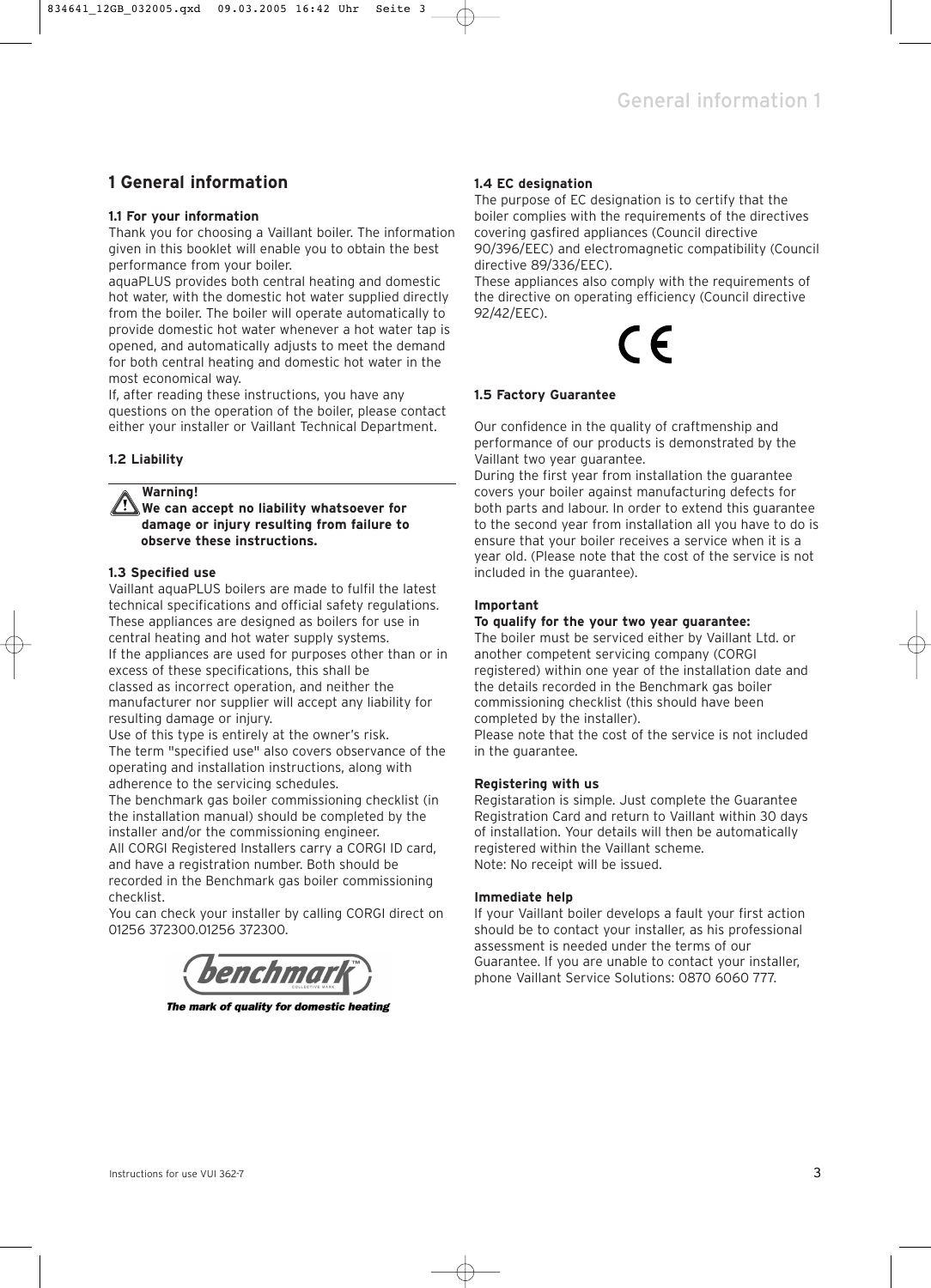## **1 General information**

## **1.1 For your information**

Thank you for choosing a Vaillant boiler. The information given in this booklet will enable you to obtain the best performance from your boiler.

aquaPLUS provides both central heating and domestic hot water, with the domestic hot water supplied directly from the boiler. The boiler will operate automatically to provide domestic hot water whenever a hot water tap is opened, and automatically adjusts to meet the demand for both central heating and domestic hot water in the most economical way.

If, after reading these instructions, you have any questions on the operation of the boiler, please contact either your installer or Vaillant Technical Department.

## **1.2 Liability**

**Warning!**

**We can accept no liability whatsoever for damage or injury resulting from failure to observe these instructions.**

## **1.3 Specified use**

Vaillant aquaPLUS boilers are made to fulfil the latest technical specifications and official safety regulations. These appliances are designed as boilers for use in central heating and hot water supply systems. If the appliances are used for purposes other than or in excess of these specifications, this shall be classed as incorrect operation, and neither the manufacturer nor supplier will accept any liability for resulting damage or injury.

Use of this type is entirely at the owner's risk. The term "specified use" also covers observance of the operating and installation instructions, along with adherence to the servicing schedules.

The benchmark gas boiler commissioning checklist (in the installation manual) should be completed by the installer and/or the commissioning engineer.

All CORGI Registered Installers carry a CORGI ID card, and have a registration number. Both should be recorded in the Benchmark gas boiler commissioning

checklist.

You can check your installer by calling CORGI direct on 01256 372300.01256 372300.



The mark of quality for domestic heating

## **1.4 EC designation**

The purpose of EC designation is to certify that the boiler complies with the requirements of the directives covering gasfired appliances (Council directive 90/396/EEC) and electromagnetic compatibility (Council directive 89/336/EEC).

These appliances also comply with the requirements of the directive on operating efficiency (Council directive 92/42/EEC).

# E

## **1.5 Factory Guarantee**

Our confidence in the quality of craftmenship and performance of our products is demonstrated by the Vaillant two year guarantee.

During the first year from installation the guarantee covers your boiler against manufacturing defects for both parts and labour. In order to extend this guarantee to the second year from installation all you have to do is ensure that your boiler receives a service when it is a year old. (Please note that the cost of the service is not included in the guarantee).

## **Important**

## **To qualify for the your two year guarantee:**

The boiler must be serviced either by Vaillant Ltd. or another competent servicing company (CORGI registered) within one year of the installation date and the details recorded in the Benchmark gas boiler commissioning checklist (this should have been completed by the installer).

Please note that the cost of the service is not included in the guarantee.

## **Registering with us**

Registaration is simple. Just complete the Guarantee Registration Card and return to Vaillant within 30 days of installation. Your details will then be automatically registered within the Vaillant scheme. Note: No receipt will be issued.

## **Immediate help**

If your Vaillant boiler develops a fault your first action should be to contact your installer, as his professional assessment is needed under the terms of our Guarantee. If you are unable to contact your installer, phone Vaillant Service Solutions: 0870 6060 777.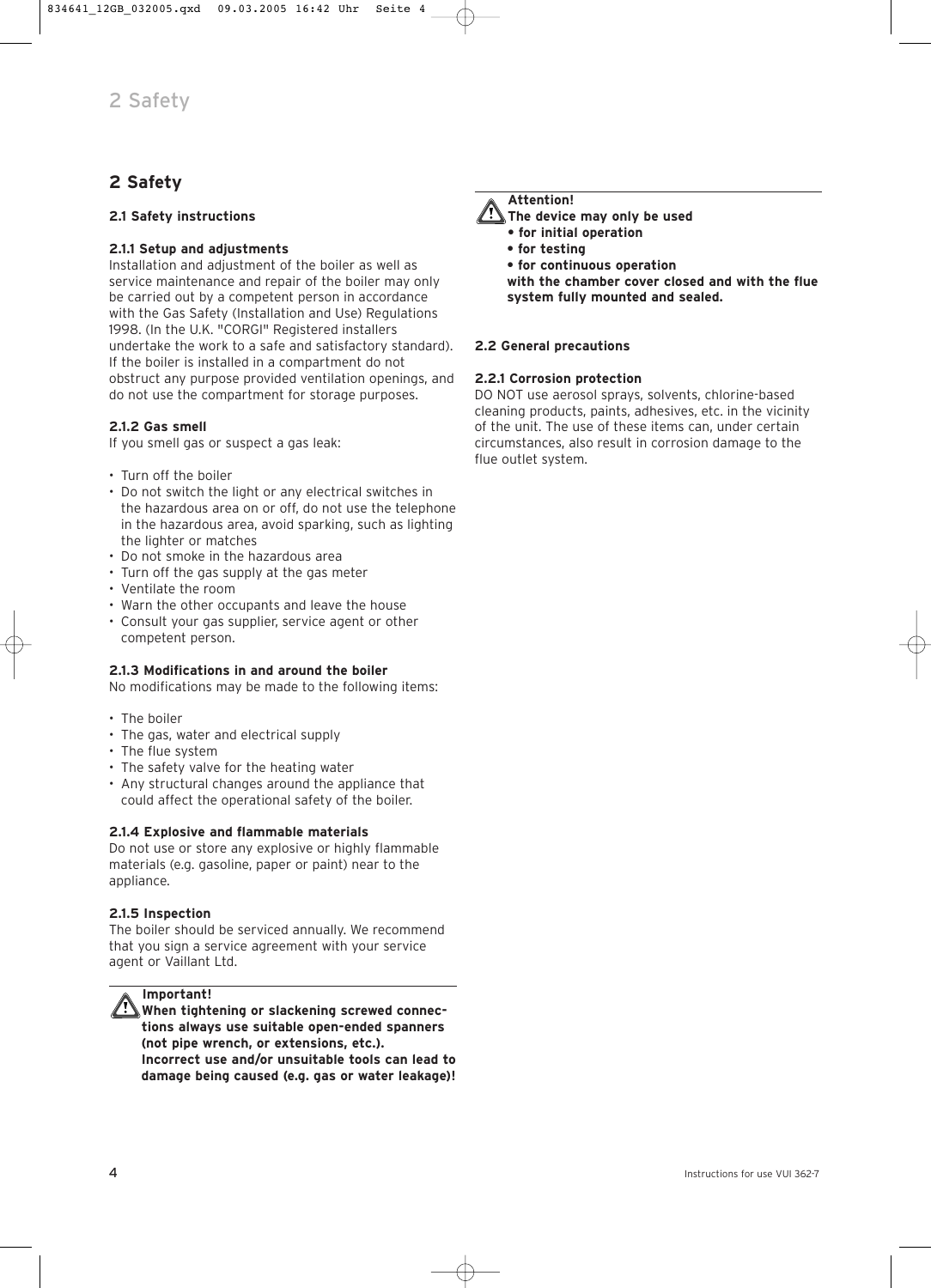## **2 Safety**

## **2.1 Safety instructions**

## **2.1.1 Setup and adjustments**

Installation and adjustment of the boiler as well as service maintenance and repair of the boiler may only be carried out by a competent person in accordance with the Gas Safety (Installation and Use) Regulations 1998. (In the U.K. "CORGI" Registered installers undertake the work to a safe and satisfactory standard). If the boiler is installed in a compartment do not obstruct any purpose provided ventilation openings, and do not use the compartment for storage purposes.

## **2.1.2 Gas smell**

If you smell gas or suspect a gas leak:

- Turn off the boiler
- Do not switch the light or any electrical switches in the hazardous area on or off, do not use the telephone in the hazardous area, avoid sparking, such as lighting the lighter or matches
- Do not smoke in the hazardous area
- Turn off the gas supply at the gas meter
- Ventilate the room
- Warn the other occupants and leave the house
- Consult your gas supplier, service agent or other competent person.

## **2.1.3 Modifications in and around the boiler**

No modifications may be made to the following items:

- The boiler
- The gas, water and electrical supply
- The flue system
- The safety valve for the heating water
- Any structural changes around the appliance that could affect the operational safety of the boiler.

## **2.1.4 Explosive and flammable materials**

Do not use or store any explosive or highly flammable materials (e.g. gasoline, paper or paint) near to the appliance.

## **2.1.5 Inspection**

The boiler should be serviced annually. We recommend that you sign a service agreement with your service agent or Vaillant Ltd.



**Important!**

**When tightening or slackening screwed connections always use suitable open-ended spanners (not pipe wrench, or extensions, etc.). Incorrect use and/or unsuitable tools can lead to damage being caused (e.g. gas or water leakage)!**



**The device may only be used** 

- **for initial operation**
- **for testing**
- **for continuous operation**

**with the chamber cover closed and with the flue system fully mounted and sealed.**

## **2.2 General precautions**

## **2.2.1 Corrosion protection**

DO NOT use aerosol sprays, solvents, chlorine-based cleaning products, paints, adhesives, etc. in the vicinity of the unit. The use of these items can, under certain circumstances, also result in corrosion damage to the flue outlet system.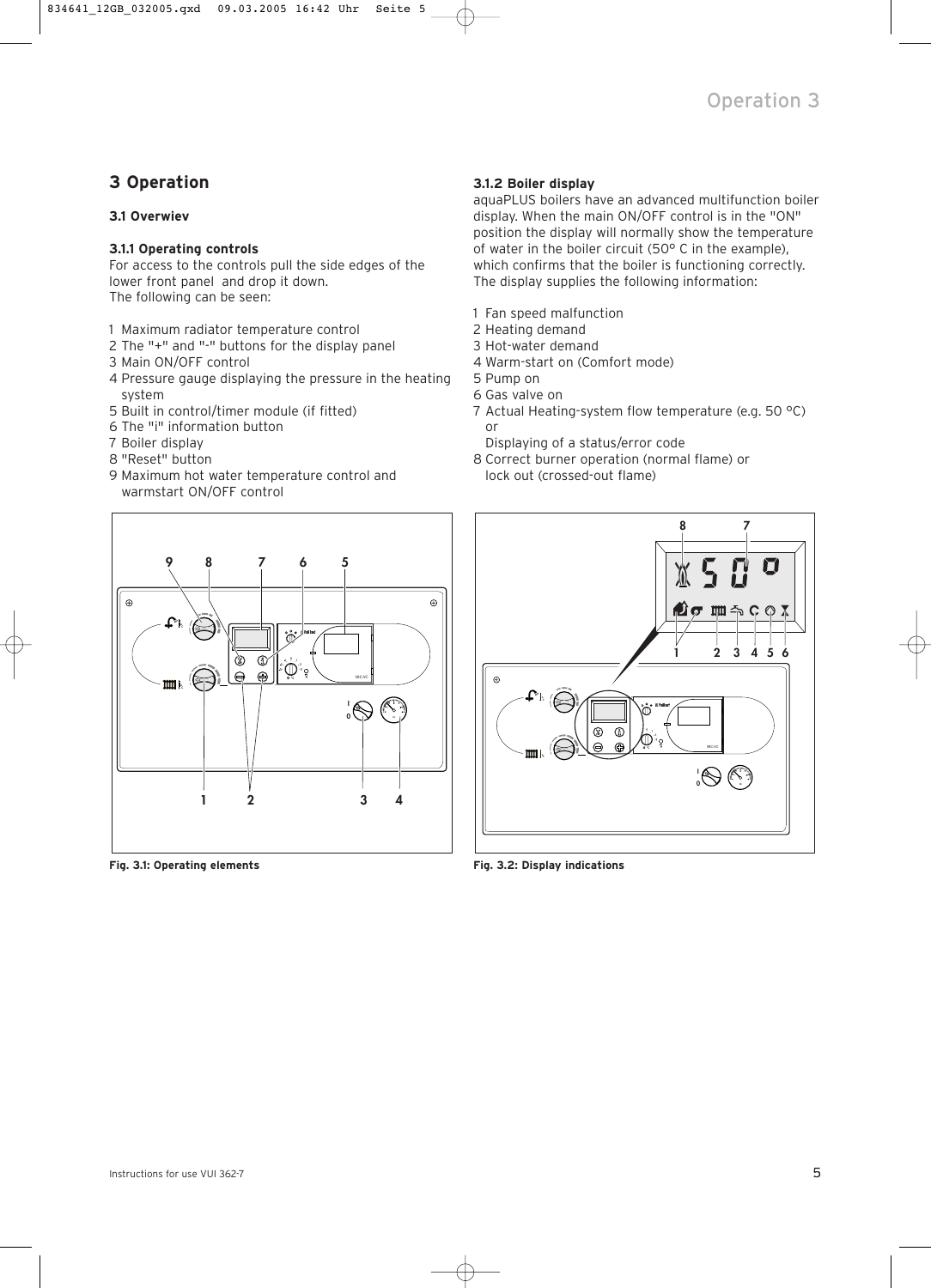## **3 Operation**

## **3.1 Overwiev**

## **3.1.1 Operating controls**

For access to the controls pull the side edges of the lower front panel and drop it down. The following can be seen:

- 1 Maximum radiator temperature control
- 2 The "+" and "-" buttons for the display panel
- 3 Main ON/OFF control
- 4 Pressure gauge displaying the pressure in the heating system
- 5 Built in control/timer module (if fitted)
- 6 The "i" information button
- 7 Boiler display
- 8 "Reset" button
- 9 Maximum hot water temperature control and warmstart ON/OFF control



**Fig. 3.1: Operating elements**

## **3.1.2 Boiler display**

aquaPLUS boilers have an advanced multifunction boiler display. When the main ON/OFF control is in the "ON" position the display will normally show the temperature of water in the boiler circuit (50° C in the example), which confirms that the boiler is functioning correctly. The display supplies the following information:

- 1 Fan speed malfunction
- 2 Heating demand
- 3 Hot-water demand
- 4 Warm-start on (Comfort mode)
- 5 Pump on
- 6 Gas valve on
- 7 Actual Heating-system flow temperature (e.g. 50 °C) or
- Displaying of a status/error code
- 8 Correct burner operation (normal flame) or lock out (crossed-out flame)



**Fig. 3.2: Display indications**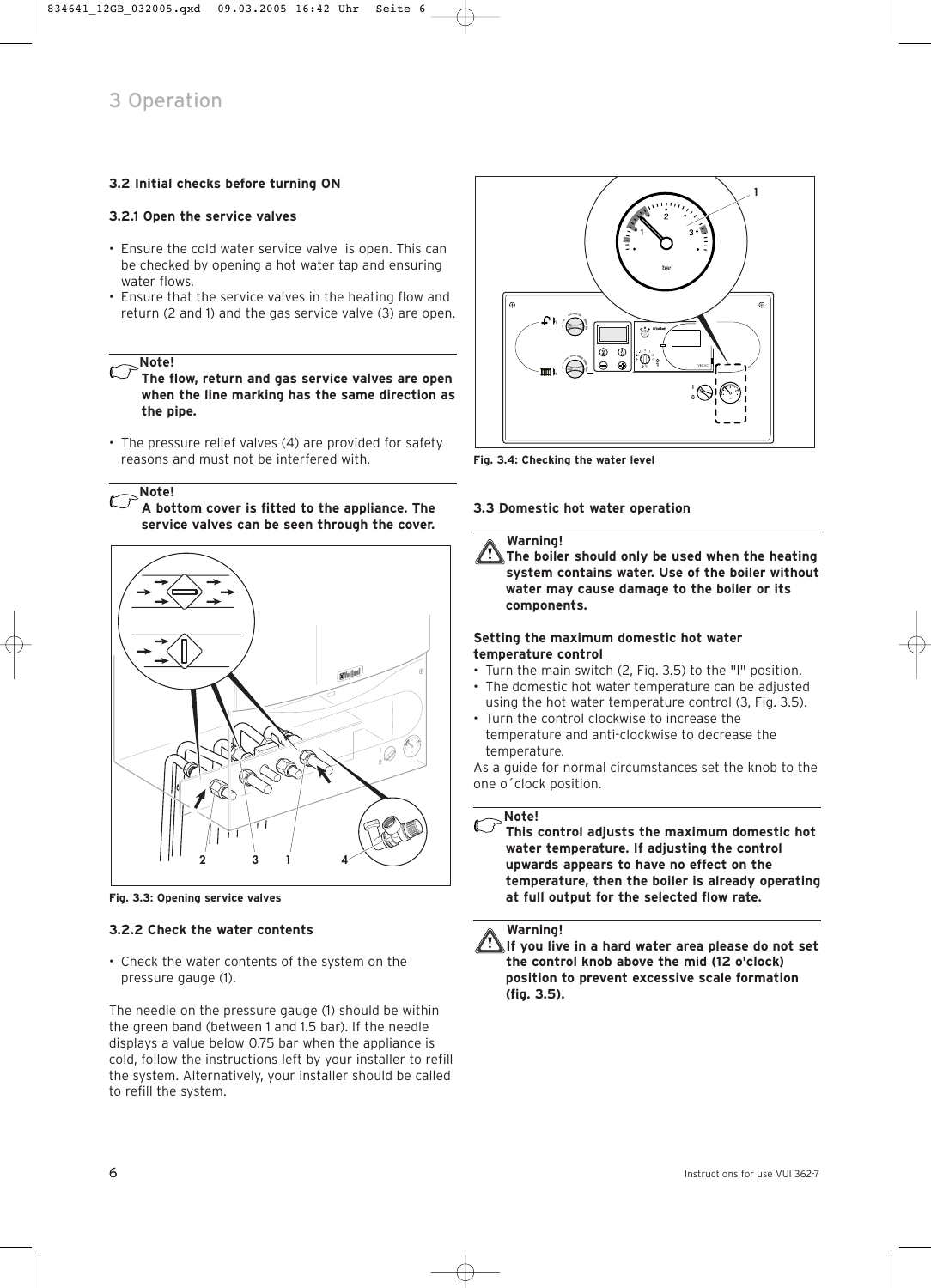## **<sup>1</sup> 3.2 Initial checks before turning ON**

## **3.2.1 Open the service valves**

- Ensure the cold water service valve is open. This can be checked by opening a hot water tap and ensuring water flows.
- Ensure that the service valves in the heating flow and return (2 and 1) and the gas service valve (3) are open.

**Note!**

**The flow, return and gas service valves are open when the line marking has the same direction as the pipe.**

• The pressure relief valves (4) are provided for safety reasons and must not be interfered with.

**Note!**

**A bottom cover is fitted to the appliance. The service valves can be seen through the cover.**



**Fig. 3.3: Opening service valves**

## **3.2.2 Check the water contents**

• Check the water contents of the system on the pressure gauge (1).

The needle on the pressure gauge (1) should be within the green band (between 1 and 1.5 bar). If the needle displays a value below 0.75 bar when the appliance is cold, follow the instructions left by your installer to refill the system. Alternatively, your installer should be called to refill the system.



**Fig. 3.4: Checking the water level** 

## **3.3 Domestic hot water operation**

## **Warning!**

**The boiler should only be used when the heating system contains water. Use of the boiler without water may cause damage to the boiler or its components.**

## **Setting the maximum domestic hot water temperature control**

- Turn the main switch (2, Fig. 3.5) to the "l" position.
- The domestic hot water temperature can be adjusted using the hot water temperature control (3, Fig. 3.5).
- Turn the control clockwise to increase the temperature and anti-clockwise to decrease the temperature.

As a guide for normal circumstances set the knob to the one o´clock position.

## **Note!**

**This control adjusts the maximum domestic hot water temperature. If adjusting the control upwards appears to have no effect on the temperature, then the boiler is already operating at full output for the selected flow rate.**



**If you live in a hard water area please do not set the control knob above the mid (12 o'clock) position to prevent excessive scale formation (fig. 3.5).**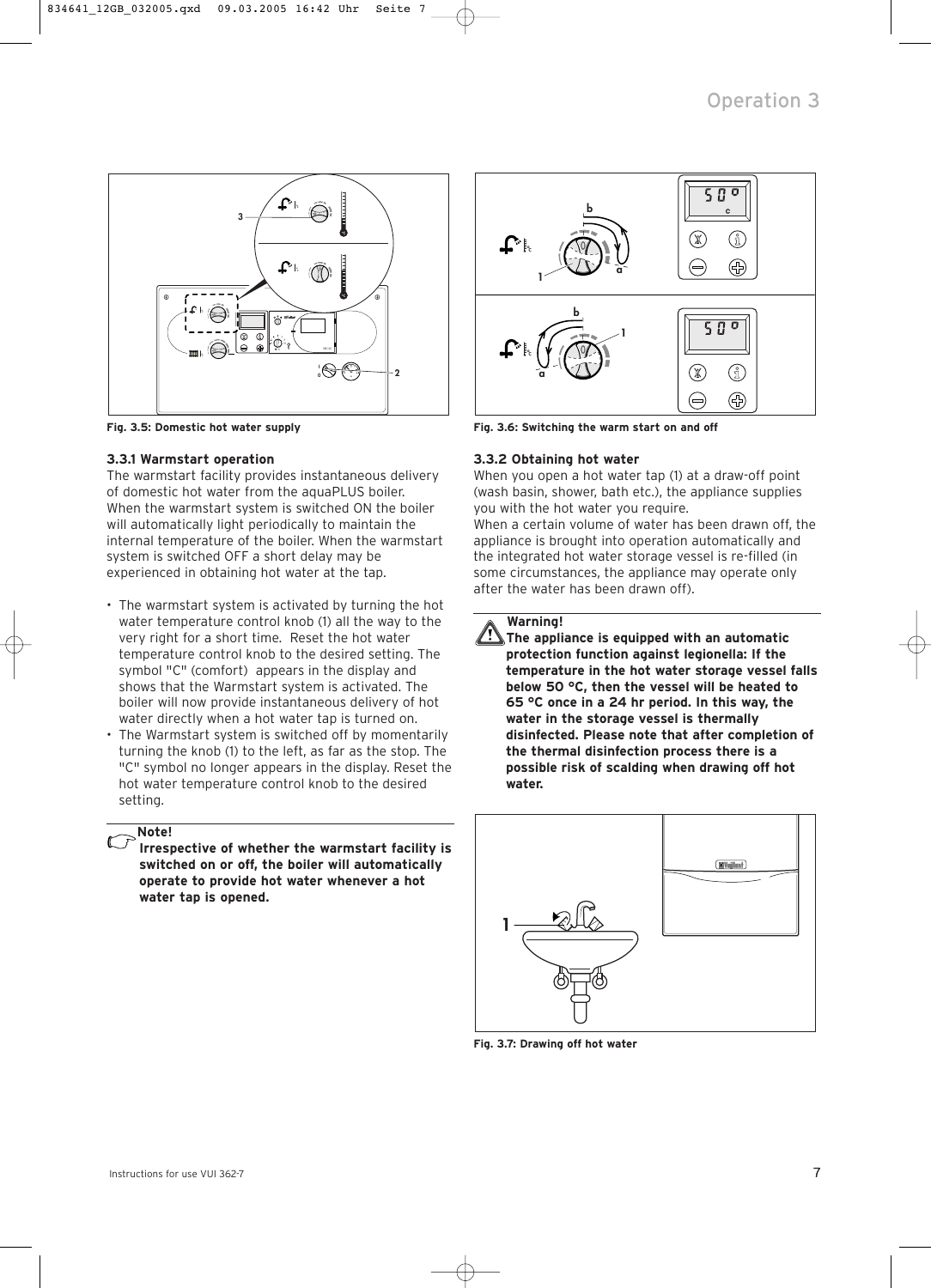

**Fig. 3.5: Domestic hot water supply**

## **3.3.1 Warmstart operation**

The warmstart facility provides instantaneous delivery of domestic hot water from the aquaPLUS boiler. When the warmstart system is switched ON the boiler will automatically light periodically to maintain the internal temperature of the boiler. When the warmstart system is switched OFF a short delay may be experienced in obtaining hot water at the tap.

- The warmstart system is activated by turning the hot water temperature control knob (1) all the way to the very right for a short time. Reset the hot water temperature control knob to the desired setting. The symbol "C" (comfort) appears in the display and shows that the Warmstart system is activated. The boiler will now provide instantaneous delivery of hot water directly when a hot water tap is turned on.
- The Warmstart system is switched off by momentarily turning the knob (1) to the left, as far as the stop. The "C" symbol no longer appears in the display. Reset the hot water temperature control knob to the desired setting.

## **Note!**

**Irrespective of whether the warmstart facility is switched on or off, the boiler will automatically operate to provide hot water whenever a hot water tap is opened.**



**Fig. 3.6: Switching the warm start on and off**

## **3.3.2 Obtaining hot water**

When you open a hot water tap (1) at a draw-off point (wash basin, shower, bath etc.), the appliance supplies you with the hot water you require.

When a certain volume of water has been drawn off, the appliance is brought into operation automatically and the integrated hot water storage vessel is re-filled (in some circumstances, the appliance may operate only after the water has been drawn off).

## **Warning!**

**The appliance is equipped with an automatic protection function against legionella: If the temperature in the hot water storage vessel falls below 50 °C, then the vessel will be heated to 65 °C once in a 24 hr period. In this way, the water in the storage vessel is thermally disinfected. Please note that after completion of the thermal disinfection process there is a possible risk of scalding when drawing off hot water.**



**Fig. 3.7: Drawing off hot water**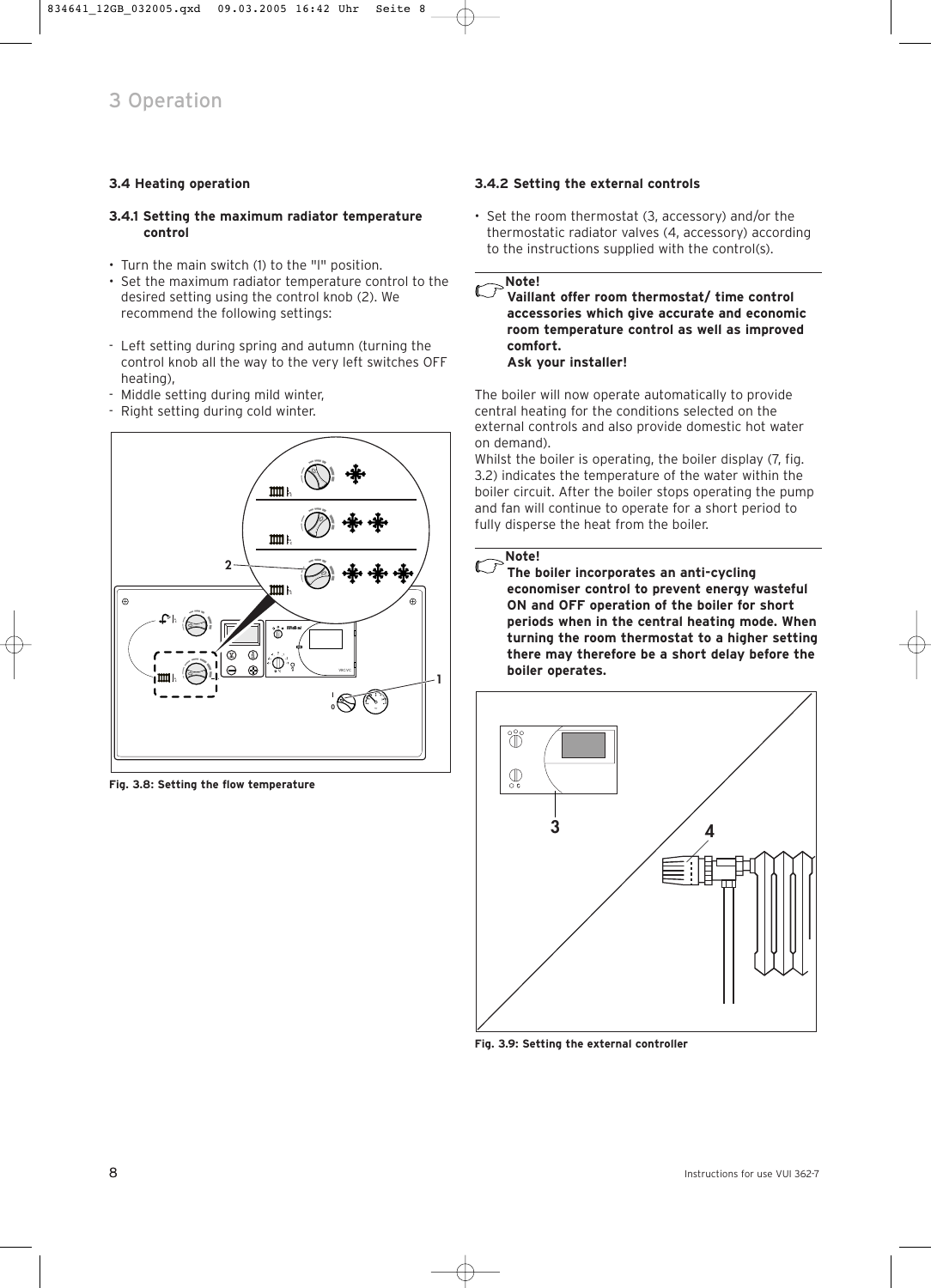## **3.4 Heating operation**

## **3.4.1 Setting the maximum radiator temperature control**

- Turn the main switch (1) to the "l" position.
- Set the maximum radiator temperature control to the desired setting using the control knob (2). We recommend the following settings:
- Left setting during spring and autumn (turning the control knob all the way to the very left switches OFF heating),
- Middle setting during mild winter,
- Right setting during cold winter.



**Fig. 3.8: Setting the flow temperature**

## **3.4.2 Setting the external controls**

• Set the room thermostat (3, accessory) and/or the thermostatic radiator valves (4, accessory) according to the instructions supplied with the control(s).

**Note!**  $\widehat{\phantom{a}}$ 

**Vaillant offer room thermostat/ time control accessories which give accurate and economic room temperature control as well as improved comfort. Ask your installer!**

The boiler will now operate automatically to provide central heating for the conditions selected on the external controls and also provide domestic hot water on demand).

Whilst the boiler is operating, the boiler display (7, fig. 3.2) indicates the temperature of the water within the boiler circuit. After the boiler stops operating the pump and fan will continue to operate for a short period to fully disperse the heat from the boiler.

#### **Note!**  $\bigcap$

**The boiler incorporates an anti-cycling economiser control to prevent energy wasteful ON and OFF operation of the boiler for short periods when in the central heating mode. When turning the room thermostat to a higher setting there may therefore be a short delay before the boiler operates.**



**Fig. 3.9: Setting the external controller**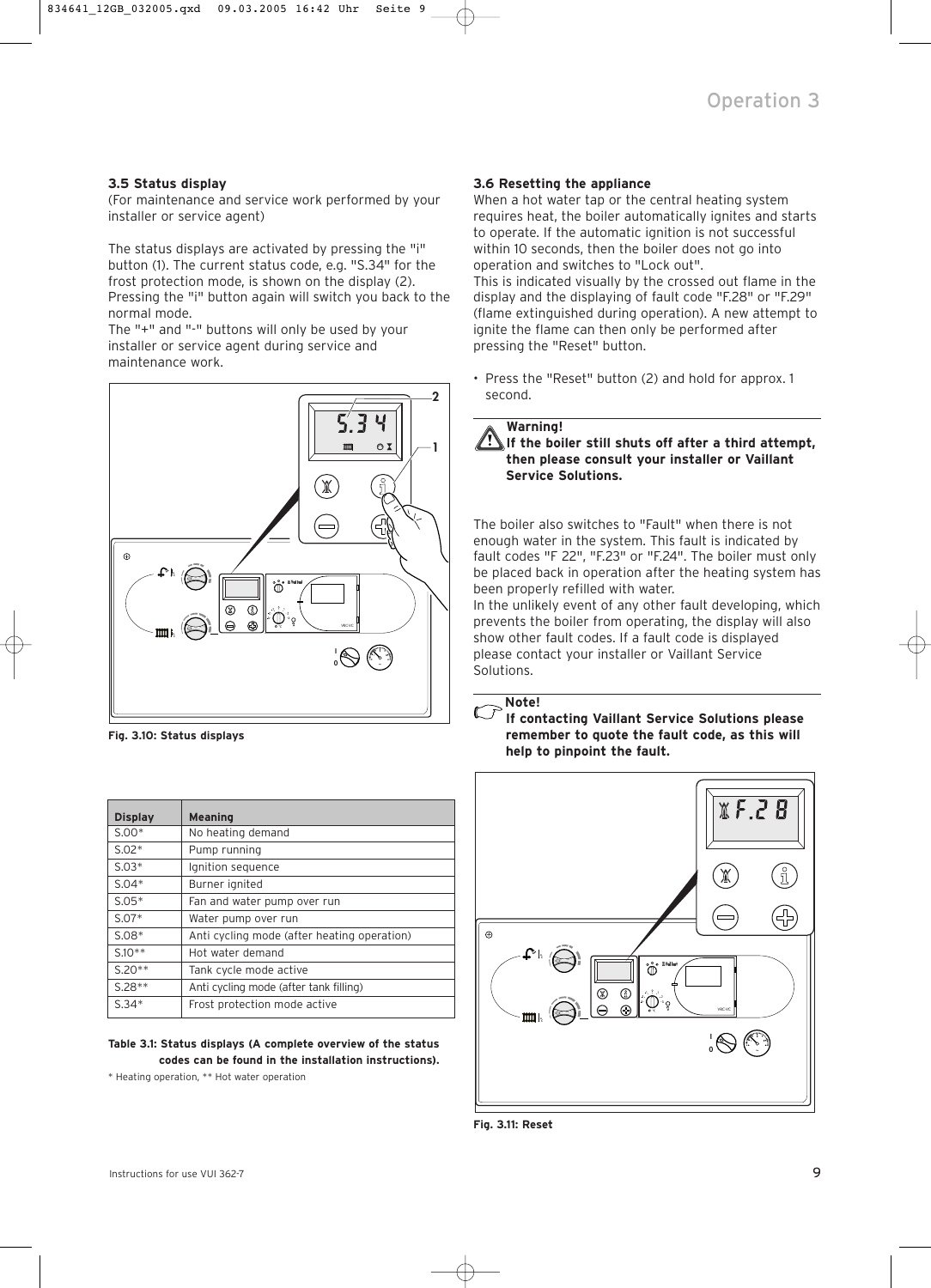## **3.5 Status display**

(For maintenance and service work performed by your installer or service agent)

The status displays are activated by pressing the "i" button (1). The current status code, e.g. "S.34" for the frost protection mode, is shown on the display (2). Pressing the "i" button again will switch you back to the normal mode.

The "+" and "-" buttons will only be used by your installer or service agent during service and maintenance work.



**Fig. 3.10: Status displays** 

|                | <b>Meaning</b>                              |
|----------------|---------------------------------------------|
| <b>Display</b> |                                             |
| $S.00*$        | No heating demand                           |
| $S.02*$        | Pump running                                |
| $S.03*$        | Ignition sequence                           |
| $S.04*$        | Burner ignited                              |
| $S.05*$        | Fan and water pump over run                 |
| $S.07*$        | Water pump over run                         |
| $S.08*$        | Anti cycling mode (after heating operation) |
| $S.10**$       | Hot water demand                            |
| $S.20**$       | Tank cycle mode active                      |
| $S.28**$       | Anti cycling mode (after tank filling)      |
| $S.34*$        | Frost protection mode active                |

**Table 3.1: Status displays (A complete overview of the status codes can be found in the installation instructions).**

\* Heating operation, \*\* Hot water operation

## **3.6 Resetting the appliance**

When a hot water tap or the central heating system requires heat, the boiler automatically ignites and starts to operate. If the automatic ignition is not successful within 10 seconds, then the boiler does not go into operation and switches to "Lock out". This is indicated visually by the crossed out flame in the display and the displaying of fault code "F.28" or "F.29" (flame extinguished during operation). A new attempt to ignite the flame can then only be performed after pressing the "Reset" button.

• Press the "Reset" button (2) and hold for approx. 1 second.

## **Warning! If the boiler still shuts off after a third attempt, then please consult your installer or Vaillant Service Solutions.**

The boiler also switches to "Fault" when there is not enough water in the system. This fault is indicated by fault codes "F 22", "F.23" or "F.24". The boiler must only be placed back in operation after the heating system has been properly refilled with water.

In the unlikely event of any other fault developing, which prevents the boiler from operating, the display will also show other fault codes. If a fault code is displayed please contact your installer or Vaillant Service Solutions.

**Note!**

 $\mathbb{C}^7$ **If contacting Vaillant Service Solutions please remember to quote the fault code, as this will help to pinpoint the fault.**



**Fig. 3.11: Reset**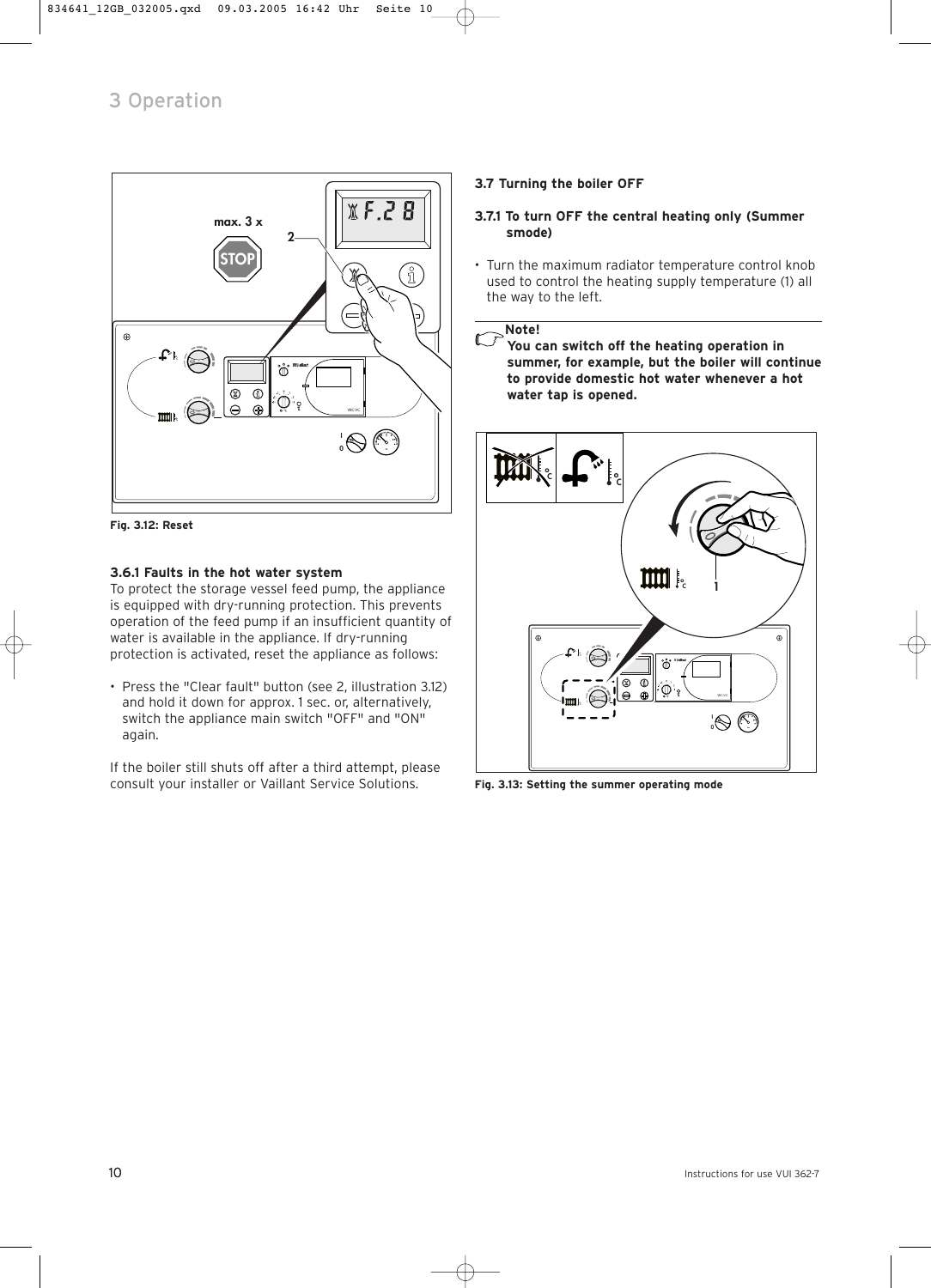

**Fig. 3.12: Reset** 

## **3.6.1 Faults in the hot water system**

To protect the storage vessel feed pump, the appliance is equipped with dry-running protection. This prevents operation of the feed pump if an insufficient quantity of water is available in the appliance. If dry-running protection is activated, reset the appliance as follows:

• Press the "Clear fault" button (see 2, illustration 3.12) and hold it down for approx. 1 sec. or, alternatively, switch the appliance main switch "OFF" and "ON" again.

If the boiler still shuts off after a third attempt, please consult your installer or Vaillant Service Solutions.

## **3.7 Turning the boiler OFF**

## **3.7.1 To turn OFF the central heating only (Summer smode)**

• Turn the maximum radiator temperature control knob used to control the heating supply temperature (1) all the way to the left.

#### **Note!**  $\mathbb{C}$

 $\widehat{\phantom{a}}$ **You can switch off the heating operation in summer, for example, but the boiler will continue to provide domestic hot water whenever a hot water tap is opened.**



**Fig. 3.13: Setting the summer operating mode**